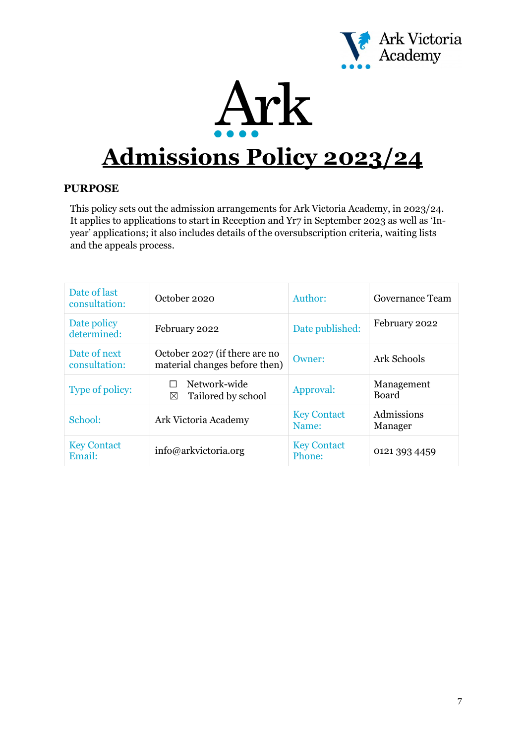



# **Admissions Policy 2023/24**

# **PURPOSE**

This policy sets out the admission arrangements for Ark Victoria Academy, in 2023/24. It applies to applications to start in Reception and Yr7 in September 2023 as well as 'Inyear' applications; it also includes details of the oversubscription criteria, waiting lists and the appeals process.

| Date of last<br>consultation: | October 2020                                                   | Author:                      | Governance Team            |
|-------------------------------|----------------------------------------------------------------|------------------------------|----------------------------|
| Date policy<br>determined:    | February 2022                                                  | Date published:              | February 2022              |
| Date of next<br>consultation: | October 2027 (if there are no<br>material changes before then) | Owner:                       | Ark Schools                |
| Type of policy:               | Network-wide<br>Tailored by school<br>⊠                        | Approval:                    | Management<br><b>Board</b> |
| School:                       | Ark Victoria Academy                                           | <b>Key Contact</b><br>Name:  | Admissions<br>Manager      |
| <b>Key Contact</b><br>Email:  | info@arkvictoria.org                                           | <b>Key Contact</b><br>Phone: | 0121 393 4459              |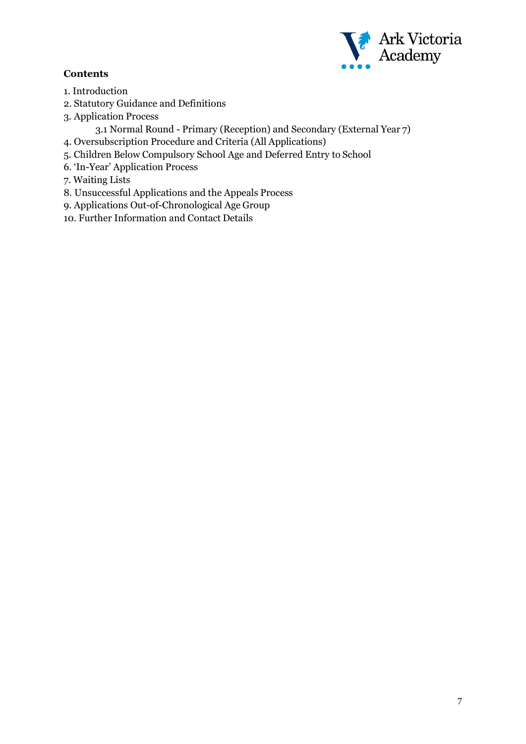# **Contents**



- 1. Introduction
- 2. Statutory Guidance and Definitions
- 3. Application Process

3.1 Normal Round - Primary (Reception) and Secondary (External Year 7)

- 4. Oversubscription Procedure and Criteria (All Applications)
- 5. Children Below Compulsory School Age and Deferred Entry to School
- 6. 'In-Year' Application Process
- 7. Waiting Lists
- 8. Unsuccessful Applications and the Appeals Process
- 9. Applications Out-of-Chronological Age Group
- 10. Further Information and Contact Details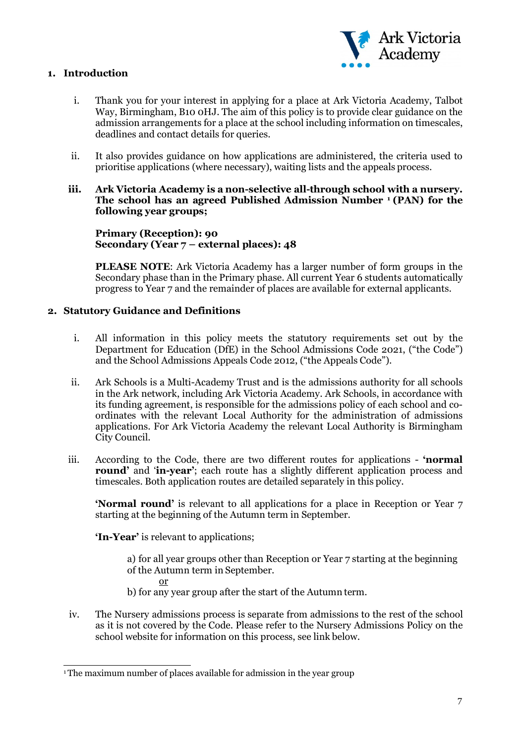

# **1. Introduction**

- i. Thank you for your interest in applying for a place at Ark Victoria Academy, Talbot Way, Birmingham, B10 0HJ. The aim of this policy is to provide clear guidance on the admission arrangements for a place at the school including information on timescales, deadlines and contact details for queries.
- ii. It also provides guidance on how applications are administered, the criteria used to prioritise applications (where necessary), waiting lists and the appeals process.
- **iii. Ark Victoria Academy is a non-selective all-through school with a nursery. The school has an agreed Published Admission Number [1](#page-2-0) (PAN) for the following year groups;**

**Primary (Reception): 90 Secondary (Year 7 – external places): 48**

**PLEASE NOTE**: Ark Victoria Academy has a larger number of form groups in the Secondary phase than in the Primary phase. All current Year 6 students automatically progress to Year 7 and the remainder of places are available for external applicants.

#### **2. Statutory Guidance and Definitions**

- i. All information in this policy meets the statutory requirements set out by the Department for Education (DfE) in the School Admissions Code 2021, ("the Code") and the School Admissions Appeals Code 2012, ("the Appeals Code").
- ii. Ark Schools is a Multi-Academy Trust and is the admissions authority for all schools in the Ark network, including Ark Victoria Academy. Ark Schools, in accordance with its funding agreement, is responsible for the admissions policy of each school and coordinates with the relevant Local Authority for the administration of admissions applications. For Ark Victoria Academy the relevant Local Authority is Birmingham City Council.
- iii. According to the Code, there are two different routes for applications **'normal round'** and **'in-year'**; each route has a slightly different application process and timescales. Both application routes are detailed separately in this policy.

**'Normal round'** is relevant to all applications for a place in Reception or Year 7 starting at the beginning of the Autumn term in September.

**'In-Year'** is relevant to applications:

a) for all year groups other than Reception or Year 7 starting at the beginning of the Autumn term in September.

or

- b) for any year group after the start of the Autumn term.
- iv. The Nursery admissions process is separate from admissions to the rest of the school as it is not covered by the Code. Please refer to the Nursery Admissions Policy on the school website for information on this process, see link below.

<span id="page-2-0"></span><sup>&</sup>lt;sup>1</sup>The maximum number of places available for admission in the year group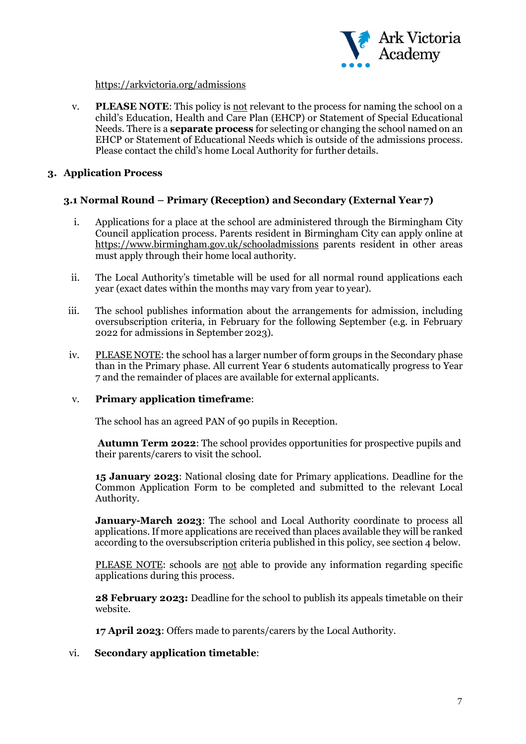

#### <https://arkvictoria.org/admissions>

v. **PLEASE NOTE**: This policy is not relevant to the process for naming the school on a child's Education, Health and Care Plan (EHCP) or Statement of Special Educational Needs. There is a **separate process** for selecting or changing the school named on an EHCP or Statement of Educational Needs which is outside of the admissions process. Please contact the child's home Local Authority for further details.

# **3. Application Process**

# **3.1 Normal Round – Primary (Reception) and Secondary (External Year 7)**

- i. Applications for a place at the school are administered through the Birmingham City Council application process. Parents resident in Birmingham City can apply online a[t](https://www.birmingham.gov.uk/schooladmissions) <https://www.birmingham.gov.uk/schooladmissions> parents resident in other areas must apply through their home local authority.
- ii. The Local Authority's timetable will be used for all normal round applications each year (exact dates within the months may vary from year to year).
- iii. The school publishes information about the arrangements for admission, including oversubscription criteria, in February for the following September (e.g. in February 2022 for admissions in September 2023).
- iv. PLEASE NOTE: the school has a larger number of form groups in the Secondary phase than in the Primary phase. All current Year 6 students automatically progress to Year 7 and the remainder of places are available for external applicants.

## v. **Primary application timeframe**:

The school has an agreed PAN of 90 pupils in Reception.

**Autumn Term 2022**: The school provides opportunities for prospective pupils and their parents/carers to visit the school.

**15 January 2023**: National closing date for Primary applications. Deadline for the Common Application Form to be completed and submitted to the relevant Local Authority.

**January-March 2023**: The school and Local Authority coordinate to process all applications.If more applications are received than places available they will be ranked according to the oversubscription criteria published in this policy, see section 4 below.

PLEASE NOTE: schools are not able to provide any information regarding specific applications during this process.

**28 February 2023:** Deadline for the school to publish its appeals timetable on their website.

**17 April 2023**: Offers made to parents/carers by the Local Authority.

## vi. **Secondary application timetable**: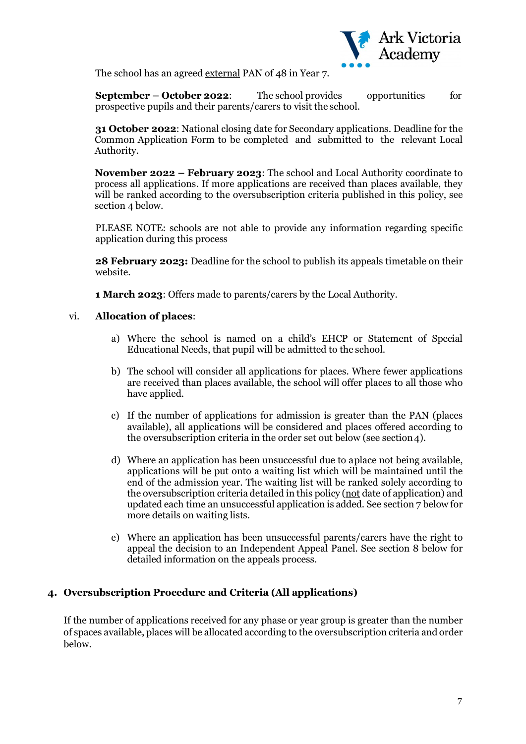

The school has an agreed external PAN of 48 in Year 7.

**September – October 2022**: The school provides opportunities for prospective pupils and their parents/carers to visit the school.

**31 October 2022**: National closing date for Secondary applications. Deadline for the Common Application Form to be completed and submitted to the relevant Local Authority.

**November 2022 – February 2023**: The school and Local Authority coordinate to process all applications. If more applications are received than places available, they will be ranked according to the oversubscription criteria published in this policy, see section 4 below.

PLEASE NOTE: schools are not able to provide any information regarding specific application during this process

**28 February 2023:** Deadline for the school to publish its appeals timetable on their website.

**1 March 2023**: Offers made to parents/carers by the Local Authority.

#### vi. **Allocation of places**:

- a) Where the school is named on a child's EHCP or Statement of Special Educational Needs, that pupil will be admitted to the school.
- b) The school will consider all applications for places. Where fewer applications are received than places available, the school will offer places to all those who have applied.
- c) If the number of applications for admission is greater than the PAN (places available), all applications will be considered and places offered according to the oversubscription criteria in the order set out below (see section 4).
- d) Where an application has been unsuccessful due to aplace not being available, applications will be put onto a waiting list which will be maintained until the end of the admission year. The waiting list will be ranked solely according to the oversubscription criteria detailed in this policy (not date of application) and updated each time an unsuccessful application is added. See section 7 below for more details on waiting lists.
- e) Where an application has been unsuccessful parents/carers have the right to appeal the decision to an Independent Appeal Panel. See section 8 below for detailed information on the appeals process.

## **4. Oversubscription Procedure and Criteria (All applications)**

If the number of applications received for any phase or year group is greater than the number of spaces available, places will be allocated according to the oversubscription criteria and order below.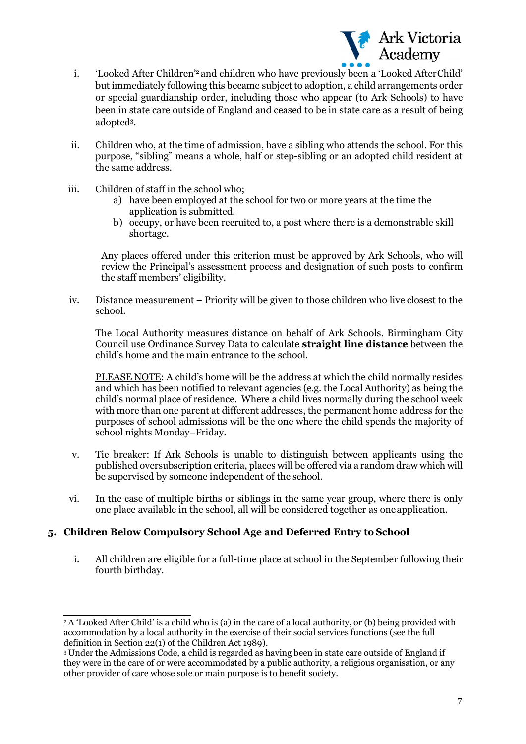

- i. 'Looked After Childre[n'2](#page-5-0) and children who have previously been a 'Looked AfterChild' but immediately following this became subject to adoption, a child arrangements order or special guardianship order, including those who appear (to Ark Schools) to have been in state care outside of England and ceased to be in state care as a result of being adopte[d3](#page-5-1)[.](#page-5-0)
- ii. Children who, at the time of admission, have a sibling who attends the school. For this purpose, "sibling" means a whole, half or step-sibling or an adopted child resident at the same address.
- iii. Children of staff in the school who;
	- a) have been employed at the school for two or more years at the time the application is submitted.
	- b) occupy, or have been recruited to, a post where there is a demonstrable skill shortage.

Any places offered under this criterion must be approved by Ark Schools, who will review the Principal's assessment process and designation of such posts to confirm the staff members' eligibility.

iv. Distance measurement – Priority will be given to those children who live closest to the school.

The Local Authority measures distance on behalf of Ark Schools. Birmingham City Council use Ordinance Survey Data to calculate **straight line distance** between the child's home and the main entrance to the school.

PLEASE NOTE: A child's home will be the address at which the child normally resides and which has been notified to relevant agencies (e.g. the Local Authority) as being the child's normal place of residence. Where a child lives normally during the school week with more than one parent at different addresses, the permanent home address for the purposes of school admissions will be the one where the child spends the majority of school nights Monday–Friday.

- v. Tie breaker: If Ark Schools is unable to distinguish between applicants using the published oversubscription criteria, places will be offered via a random draw which will be supervised by someone independent of the school.
- vi. In the case of multiple births or siblings in the same year group, where there is only one place available in the school, all will be considered together as oneapplication.

# **5. Children Below Compulsory School Age and Deferred Entry to School**

i. All children are eligible for a full-time place at school in the September following their fourth birthday.

<span id="page-5-0"></span><sup>2</sup> A 'Looked After Child' is a child who is (a) in the care of a local authority, or (b) being provided with accommodation by a local authority in the exercise of their social services functions (see the full definition in Section 22(1) of the Children Act 1989).

<span id="page-5-1"></span><sup>3</sup> Under the Admissions Code, a child is regarded as having been in state care outside of England if they were in the care of or were accommodated by a public authority, a religious organisation, or any other provider of care whose sole or main purpose is to benefit society.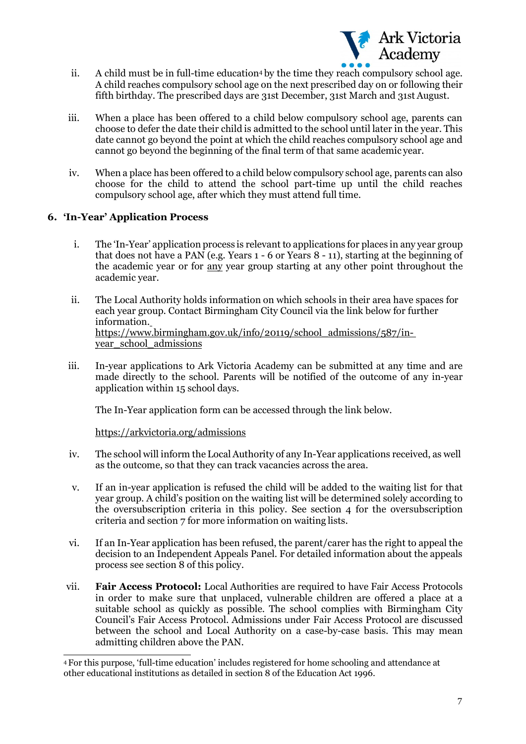

- ii. A child must be in full-time education<sup>4</sup> by the time they reach compulsory school age. A child reaches compulsory school age on the next prescribed day on or following their fifth birthday. The prescribed days are 31st December, 31st March and 31st August.
- iii. When a place has been offered to a child below compulsory school age, parents can choose to defer the date their child is admitted to the school until later in the year. This date cannot go beyond the point at which the child reaches compulsory school age and cannot go beyond the beginning of the final term of that same academic year.
- iv. When a place has been offered to a child below compulsory school age, parents can also choose for the child to attend the school part-time up until the child reaches compulsory school age, after which they must attend full time.

# **6. 'In-Year' Application Process**

- i. The 'In-Year' application process is relevant to applications for places in any year group that does not have a PAN (e.g. Years 1 - 6 or Years 8 - 11), starting at the beginning of the academic year or for any year group starting at any other point throughout the academic year.
- ii. The Local Authority holds information on which schools in their area have spaces for each year gr[oup. Contact Birmingham City Council via the link below for further](https://www.birmingham.gov.uk/info/20119/school_admissions/587/in-year_school_admissions)  information. [https://www.birmingham.gov.uk/info/20119/school\\_admissions/587/in](https://www.birmingham.gov.uk/info/20119/school_admissions/587/in-year_school_admissions)[year\\_school\\_admissions](https://www.birmingham.gov.uk/info/20119/school_admissions/587/in-year_school_admissions)
- iii. In-year applications to Ark Victoria Academy can be submitted at any time and are made directly to the school. Parents will be notified of the outcome of any in-year application within 15 school days.

The In-Year application form can be accessed through the link below.

<https://arkvictoria.org/admissions>

- iv. The school will inform the Local Authority of any In-Year applications received, as well as the outcome, so that they can track vacancies across the area.
- v. If an in-year application is refused the child will be added to the waiting list for that year group. A child's position on the waiting list will be determined solely according to the oversubscription criteria in this policy. See section 4 for the oversubscription criteria and section 7 for more information on waiting lists.
- vi. If an In-Year application has been refused, the parent/carer has the right to appeal the decision to an Independent Appeals Panel. For detailed information about the appeals process see section 8 of this policy.
- vii. **Fair Access Protocol:** Local Authorities are required to have Fair Access Protocols in order to make sure that unplaced, vulnerable children are offered a place at a suitable school as quickly as possible. The school complies with Birmingham City Council's Fair Access Protocol. Admissions under Fair Access Protocol are discussed between the school and Local Authority on a case-by-case basis. This may mean admitting children above the PAN.

<span id="page-6-0"></span><sup>4</sup> For this purpose, 'full-time education' includes registered for home schooling and attendance at other educational institutions as detailed in section 8 of the Education Act 1996.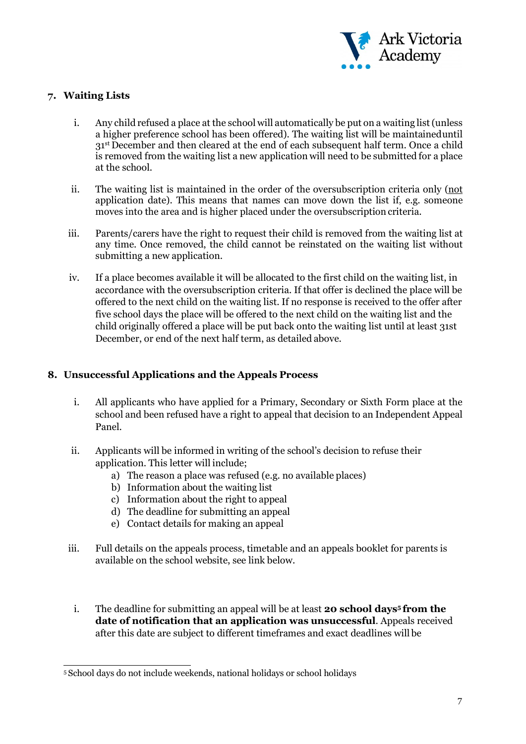

# **7. Waiting Lists**

- i. Any child refused a place at the school will automatically be put on a waiting list(unless a higher preference school has been offered). The waiting list will be maintaineduntil 31<sup>st</sup> December and then cleared at the end of each subsequent half term. Once a child is removed from the waiting list a new application will need to be submitted for a place at the school.
- ii. The waiting list is maintained in the order of the oversubscription criteria only (not application date). This means that names can move down the list if, e.g. someone moves into the area and is higher placed under the oversubscription criteria.
- iii. Parents/carers have the right to request their child is removed from the waiting list at any time. Once removed, the child cannot be reinstated on the waiting list without submitting a new application.
- iv. If a place becomes available it will be allocated to the first child on the waiting list, in accordance with the oversubscription criteria. If that offer is declined the place will be offered to the next child on the waiting list. If no response is received to the offer after five school days the place will be offered to the next child on the waiting list and the child originally offered a place will be put back onto the waiting list until at least 31st December, or end of the next half term, as detailed above.

# **8. Unsuccessful Applications and the Appeals Process**

- i. All applicants who have applied for a Primary, Secondary or Sixth Form place at the school and been refused have a right to appeal that decision to an Independent Appeal Panel.
- ii. Applicants will be informed in writing of the school's decision to refuse their application. This letter will include;
	- a) The reason a place was refused (e.g. no available places)
	- b) Information about the waiting list
	- c) Information about the right to appeal
	- d) The deadline for submitting an appeal
	- e) Contact details for making an appeal
- iii. Full details on the appeals process, timetable and an appeals booklet for parents is available on the school website, see link below.
	- i. The deadline for submitting an appeal will be at least **20 school day[s5](#page-7-0) from the date of notification that an application was unsuccessful**. Appeals received after this date are subject to different timeframes and exact deadlines will be

<span id="page-7-0"></span><sup>5</sup> School days do not include weekends, national holidays or school holidays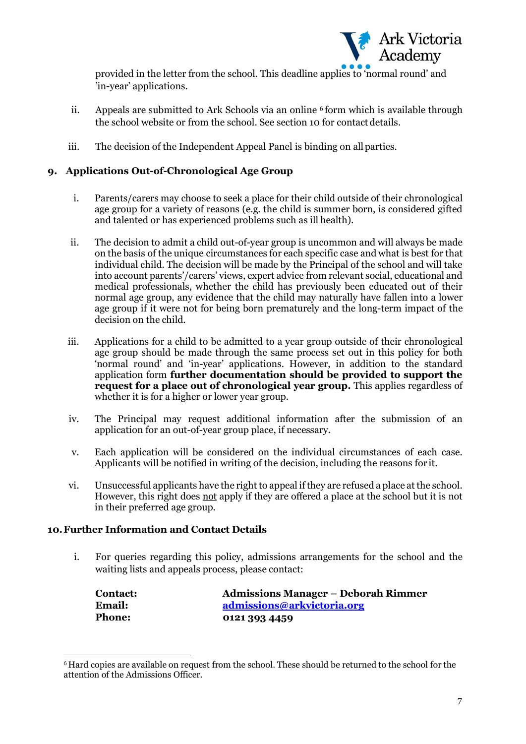

provided in the letter from the school. This deadline applies to 'normal round' and 'in-year' applications.

- ii. Appeals are submitted to Ark Schools via an online  $6$  form which is available through the school website or from the school. See section 10 for contact details.
- iii. The decision of the Independent Appeal Panel is binding on allparties.

# **9. Applications Out-of-Chronological Age Group**

- i. Parents/carers may choose to seek a place for their child outside of their chronological age group for a variety of reasons (e.g. the child is summer born, is considered gifted and talented or has experienced problems such as ill health).
- ii. The decision to admit a child out-of-year group is uncommon and will always be made on the basis of the unique circumstances for each specific case and what is best for that individual child. The decision will be made by the Principal of the school and will take into account parents'/carers' views, expert advice from relevant social, educational and medical professionals, whether the child has previously been educated out of their normal age group, any evidence that the child may naturally have fallen into a lower age group if it were not for being born prematurely and the long-term impact of the decision on the child.
- iii. Applications for a child to be admitted to a year group outside of their chronological age group should be made through the same process set out in this policy for both 'normal round' and 'in-year' applications. However, in addition to the standard application form **further documentation should be provided to support the request for a place out of chronological year group.** This applies regardless of whether it is for a higher or lower year group.
- iv. The Principal may request additional information after the submission of an application for an out-of-year group place, if necessary.
- v. Each application will be considered on the individual circumstances of each case. Applicants will be notified in writing of the decision, including the reasons for it.
- vi. Unsuccessful applicants have the right to appeal if they are refused a place at the school. However, this right does not apply if they are offered a place at the school but it is not in their preferred age group.

# **10.Further Information and Contact Details**

i. For queries regarding this policy, admissions arrangements for the school and the waiting lists and appeals process, please contact:

| <b>Contact:</b> | <b>Admissions Manager – Deborah Rimmer</b> |
|-----------------|--------------------------------------------|
| Email:          | admissions@arkvictoria.org                 |
| <b>Phone:</b>   | 0121 393 4459                              |

<span id="page-8-0"></span><sup>6</sup> Hard copies are available on request from the school. These should be returned to the school for the attention of the Admissions Officer.